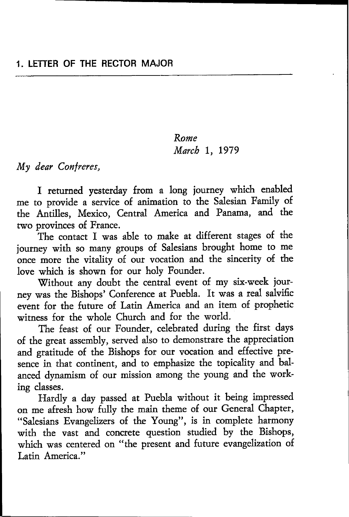## Rome March 1, 1979

My dear Confreres,

I teturned yesterday from a long journey which enabled me to provide a service of animation to the Salesian Family of the Antilles, Mexico, Central America and Panama, and the two provinces of France.

The contact I was able to make at different stages of the journey with so many groups of Salesians brought home to me once more the vitality of our vocation and the sinceriry of the love which is shown for our holy Founder.

Without any doubt the central event of my six-week journey was the Bishops' Conference at Puebla. It was a real salvific event for the future of Latin America and an item of prophetic witness for the whole Church and for the world.

The feast of our Founder, celebrated during the first days of the great assembly, served also to demonsffare the appreciation and gratitude of the Bishops for our vocation and effective presence in that continent, and to emphasize the topicaliry and balanced dynamism of our mission among the young and the working dasses.

Hardly a day passed at Puebla without it being impressed on me afresh how fully the main theme of our General Chapter, "salesians Evangelizers of the Young", is in complete harmony with the vast and concrete question studied by the Bishops, which was centered on "the present and future evangelization of Latin America."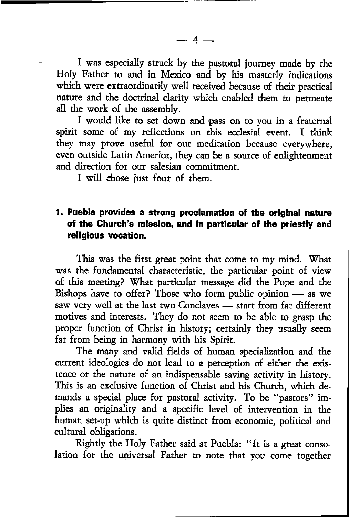I was especially struck by the pastoral journey made by the Holy Father to and in Mexico and by his masterly indications which were extraordinarily well received because of their practical nature and the doctrinal clarity which enabled them to penneate all the work of the assembly.

I would like to set down and pass on to you in a fraternal spirit some of my reflections on this ecclesial event. I think they may prove useful for our meditation because everywhere, even outside Latin America, they can be a source of enlightenment and direction for our salesian commitment.

I will chose just four of them.

## l. Puebla provides a strong proclamation of the original nature of the Church's mission, and in particular of the priestly and rellgious vocation.

This was the first great point that come to my mind. What was the fundamental characteristic, the particular point of view of this meeting? \Vhat particular message did the Pope and the Bishops have to offer? Those who form public opinion as we Distiops have to offer I flose who form public optimon — as we<br>saw very well at the last two Conclaves — start from far different saw very wen at the last two Concraves — start from far different<br>motives and interests. They do not seem to be able to grasp the proper function of Christ in history; certainly they usually seem far from being in harmony with his Spirit.

The many and valid fields of human specialization and the current ideologies do not lead to a perception of either the existence or the nature of an indispensable saving activity in history. This is an exdusive function of Christ and his Church, which demands a special place for pastoral activity. To be "pastors" implies an originaliry and a specific level of inrervention in the human set-up which is quite distinct from economic, political and cultural obligations.

Rightly the Holy Father said at Puebla: "It is a great consolation for the universal Father to note that you come together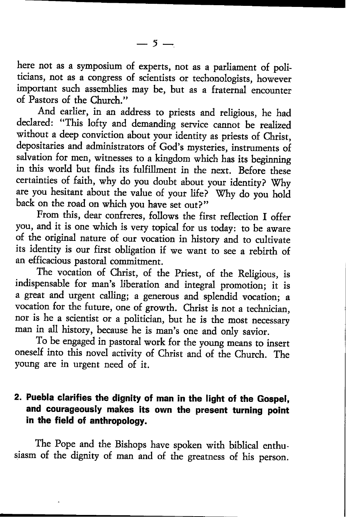here not as a symposium of experts, not as a parliament of politicians, not as a congress of scientists or techonologists, however important such assemblies may be, but as a fraternal encounter of Pastors of the Church."

And earlier, in an address to priests and religious, he had declared: "This lofty and demanding service cannot be realized without a deep conviction about your identity as priests of Christ, depositaries and administrators of God's mysteries, instruments of salvation for men, witnesses to a kingdom which has its beginning in this world but finds its fulfillment in the next. Before these certainties of faith, why do you doubt about your identity? 'Why are you hesitant about the value of your life? Why do you hold back on the road on which you have set out?"

From this, dear confreres, follows the first reflection I offer you, and it is one which is very topical for us today: to be aware of the original nature of our vocation in history and to cultivate its identity is our first obligation if we want to see a rebirth of an efficacious pastoral commitment.

The vocation of Christ, of the Priest, of the Religious, is indispensable for man's liberation and integral promotion; it is a great and urgent calling; a generous and splendid vocation; <sup>a</sup> vocation for the future, one of growth. christ is not a technician, nor is he a scientist or a politician, but he is the most necessary man in all history, because he is man's one and only savior.

To be engaged in pastoral work for the young means to insert oneself into this novel activity of christ and of the church. The young are in urgent need of it.

# 2. Puebla clarifies the dignity of man in the light of the Gospel, and courageously makes its own the present turning point in the field of anthropology.

The Pope and the Bishops have spoken with biblical enthusiasm of the digniry of man and of rhe greatness of his person.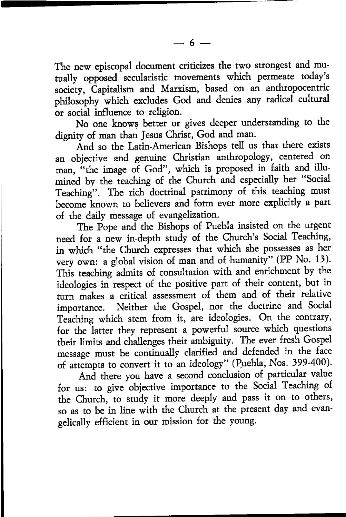The new episcopal document criticizes the two strongest and mutually opposed secularistic movements which permeate today's society, Capitalism and Marxism, based on an anthropocentric philosophy which excludes God and denies any radical cultural or social influence to religion.

No one knows better or gives deeper understanding to the digniry of man than Jesus Christ, God and man.

And so the Latin-American Bishops tell us that there exists an objective and genuine Christian anthropology, centered on man, "the image of God", which is proposed in faith and illumined by the teaching of the Church and especially her "Social Teaching". The rich doctrinal patrimony of this teaching must become known to believers and form ever more explicitly a part of the daily message of evangelization.

The Pope and the Bishops of Puebla insisted on the urgent need for a new in-depth study of the Church's Social Teaching, in which "the Church expresses that which she possesses as her very own: a global vision of man and of humanity" (PP No. 13). This teaching admits of consultation with and enrichment by the ideologies in respect of the positive part of their content, but in turn makes a critical assessment of them and of their relative importance. Neither the Gospel, nor the doctrine and social Teaching which stem from it, are ideologies. On the contrary, for the latter they represent a powerful source which questions their limits and challenges their ambiguity. The ever fresh Gospel message must be continually clarified and defended in the face of attempts to convert it to an ideology" (Puebla, Nos. 399-400).

And there you have a second conclusion of particular value for us: to give objective importance to the Social Teaching of the Church, to study it more deeply and pass it on to others, so as to be in line with the Church at the present day and evangelically efficient in our mission for the young.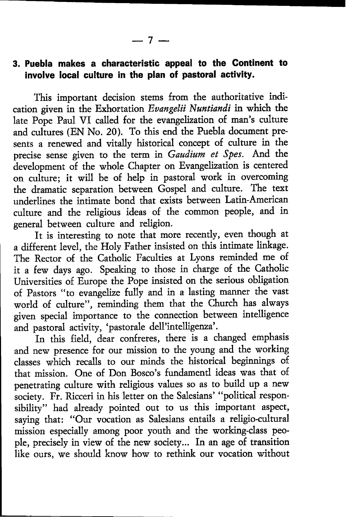# 3. Puebla makes a characteristic appeal to the Gontinent to involve local culture in the plan of pastoral activity.

This impottant decision stems from the authoritative indication given in the Exhortation Evangelii Nuntiandi in which the late Pope Paul VI called for the evangelization of man's culture and cultures (EN No. 20). To this end the Puebla document presents a tenewed and vitally historical concept of culture in the precise sense given to the term in Gaudium et Spes. And the development of the whole Chapter on Evangelization is centered on culture; it will be of help in pastoral work in overcoming the drarnatic separation between Gospel and culture. The text underlines the intimate bond that exists between Latin-American culture and the religious ideas of the common people, and in general between culture and religion.

It is interesting to note that more recently, even though at a different level, the Holy Father insisted on this intimate linkage. The Rector of the Catholic Faculties at Lyons reminded me of it a few days ago. Speaking to those in charge of the Catholic Universities of Europe the Pope insisted on the serious obligation of Pastors "to evangelize fully and in a lasting manner the vast world of culture", reminding them that the Church has always given special importance to the connection between intelligence and pastoral activity, 'pastorale dell'intelligenza'.

ln this field, dear confreres, there is a changed emphasis and new presence for our mission to the young and the working classes which recalls to our minds the historical beginnings of that mission. One of Don Bosco's fundamend ideas was that of penetrating culture with religious values so as to build up a new society. Fr. Ricceri in his letter on the Salesians' "political responsibiliry" had already pointed out to us this important aspect, saying that: "Our vocation as Salesians entails a religio-cultural mission especially among poor youth and the working-class people, precisely in view of the new society... In an age of transition like ours, we should know how to rethink our vocation without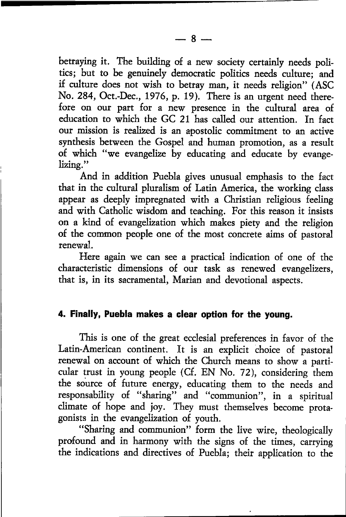betraying it. The building of a new society certainly needs politics; but to be genuinely democratic politics needs culture; and if culture does not wish to betray man, it needs religion" (ASC No. 284, Oct.-Dec., 1976, p. 19). There is an urgent need therefore on our part for a new presence in the cultural area of education to which the GC 2l has called our attention. In fact our mission is realized is an apostolic commitment to an active synthesis between the Gospel and human promotion, as a result of which "we evangelize by educating and educate by evangelizing."

And in addition Puebla gives unusual emphasis to the fact that in the cultural pluralism of Latin America, the working class appear as deeply impregnated with a Christian religious feeling and with Catholic wisdom and teaching. For this reason it insists on a kind of evangelization which makes piety and the religion of the conunon people one of the most concrete aims of pastoral renewal.

Here again we can see a practical indication of one of the characteristic dimensions of our task as renewed evangelizers, that is, in its sacramental, Marian and devotional aspects.

#### 4. Finally, Puebla makes a clear option for the young.

This is one of the great ecclesial preferences in favor of the Latin-American continent. It is an explicit choice of pastoral renewal on account of which the Church means to show a particular trust in young people (Cf. EN No. 72), considering them the source of future energy, educating them to the needs and responsability of "sharing" and "communion", in a spiritual climate of hope and joy. They must themselves become proragonists in the evangelization of youth.

"Sharing and communion" form the live wire, theologically profound and in harmony with the signs of the times, carrying the indications and directives of Puebla; their application to the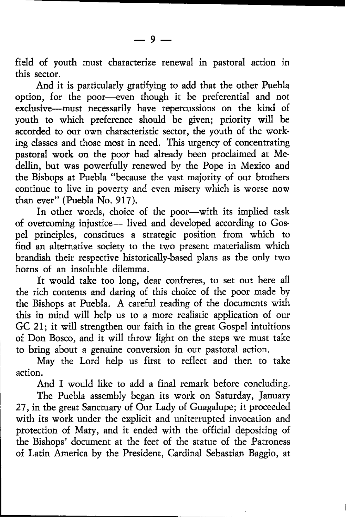field of youth must characterize renewal in pastoral action in this sector.

And it is particularly gratifying to add that the othet Puebla option, for the poor-even though it be preferential and not exclusive-must necessarily have repercussions on the kind of youth to which preference should be given; priority will be accorded to our own characteristic sector, the youth of the working classes and those most in need. This urgency of concentrating pastoral wotk on the poor had already been proclaimed at Medellin, but was powerfully renewed by the Pope in Mexico and the Bishops at Puebla "because the vast majority of our brothers continue to live in poverty and even misery which is worse now than ever" (Puebla No. 917).

In other words, choice of the poor-with its implied task of overcoming injustice- lived and developed according to Gospel principles, constitues a strategic position from which to find an alternative society to the two present materialism which brandish their respective historically-based plans as the only two horns of an insoluble dilemma.

It would take too long, dear confreres, to set out here all the rich contents and daring of this choice of the poor made by the Bishops at Puebla. A careful reading of the documents with this in mind will help us to a more realistic application of our GC 21; it will strengthen our faith in the great Gospel intuitions of Don Bosco, and it will throw light on the steps we must take to bring about a genuine conversion in our pastoral action.

May the Lord help us first to reflect and then to take action.

And I would like to add a final remark before concluding.

The Puebla assembly began its work on Saturday, January 27, in the great Sanctuary of Our Lady of Guagalupe; it proceeded with its work under the explicit and uniterrupted invocation and protection of Mary, and it ended with the official depositing of the Bishops' document at the feet of the statue of the Patroness of Latin America by the President, Cardinal Sebastian Baggio, at